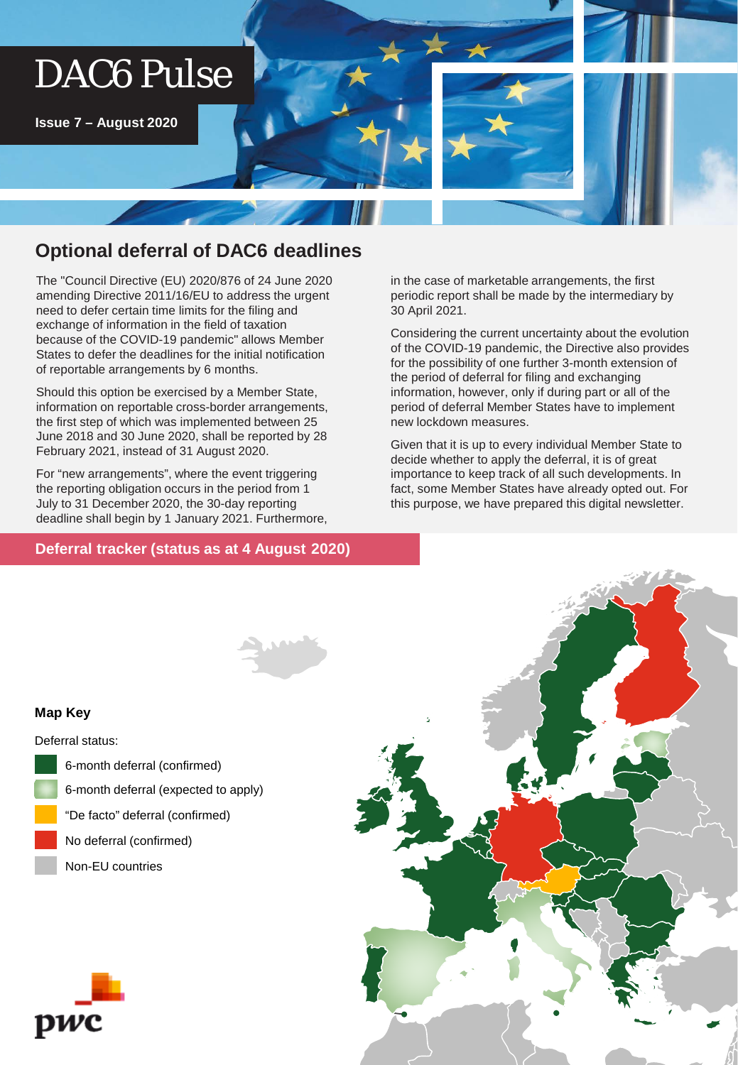# DAC6 Pulse

**Issue 7 – August 2020**

## **Optional deferral of DAC6 deadlines**

The "Council Directive (EU) 2020/876 of 24 June 2020 amending Directive 2011/16/EU to address the urgent need to defer certain time limits for the filing and exchange of information in the field of taxation because of the COVID-19 pandemic" allows Member States to defer the deadlines for the initial notification of reportable arrangements by 6 months.

Should this option be exercised by a Member State, information on reportable cross-border arrangements, the first step of which was implemented between 25 June 2018 and 30 June 2020, shall be reported by 28 February 2021, instead of 31 August 2020.

For "new arrangements", where the event triggering the reporting obligation occurs in the period from 1 July to 31 December 2020, the 30-day reporting deadline shall begin by 1 January 2021. Furthermore,

## **Deferral tracker (status as at 4 August 2020) Deferral tracker (status as at 4 August 2020)**

in the case of marketable arrangements, the first periodic report shall be made by the intermediary by 30 April 2021.

Considering the current uncertainty about the evolution of the COVID-19 pandemic, the Directive also provides for the possibility of one further 3-month extension of the period of deferral for filing and exchanging information, however, only if during part or all of the period of deferral Member States have to implement new lockdown measures.

Given that it is up to every individual Member State to decide whether to apply the deferral, it is of great importance to keep track of all such developments. In fact, some Member States have already opted out. For this purpose, we have prepared this digital newsletter.

#### **Map Key**

Deferral status:

- 6-month deferral (confirmed)
- 6-month deferral (expected to apply)
- "De facto" deferral (confirmed)
- No deferral (confirmed)
- Non-EU countries



pwc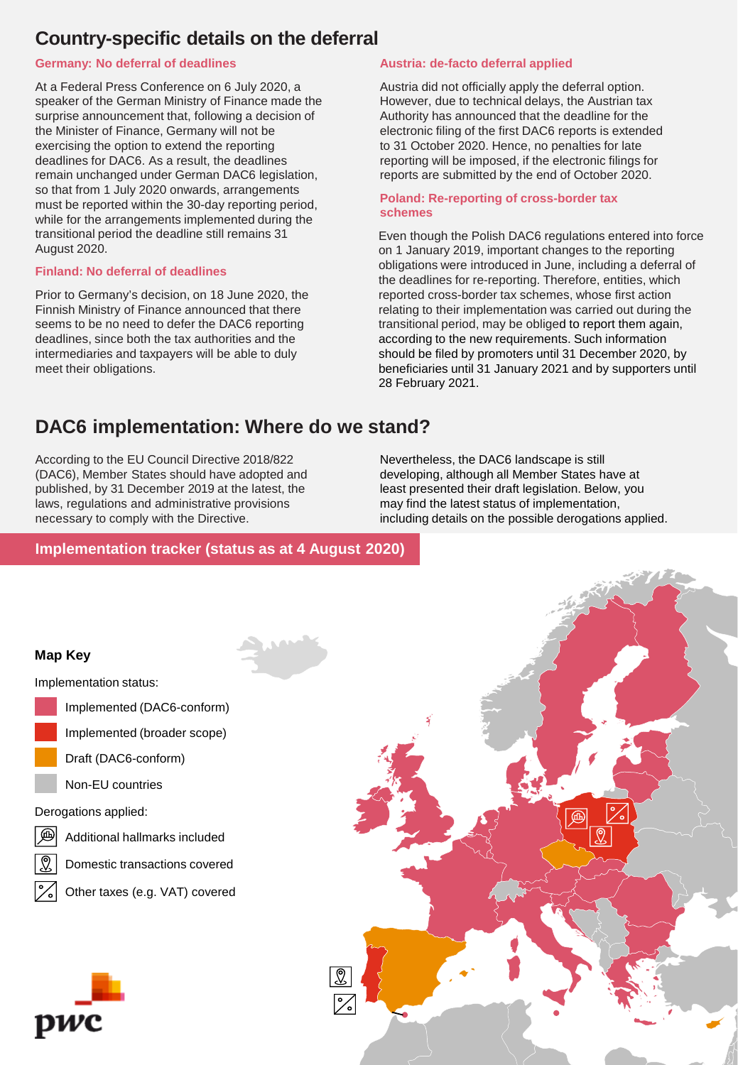## **Country-specific details on the deferral**

#### **Germany: No deferral of deadlines**

At a Federal Press Conference on 6 July 2020, a speaker of the German Ministry of Finance made the surprise announcement that, following a decision of the Minister of Finance, Germany will not be exercising the option to extend the reporting deadlines for DAC6. As a result, the deadlines remain unchanged under German DAC6 legislation, so that from 1 July 2020 onwards, arrangements must be reported within the 30-day reporting period, while for the arrangements implemented during the transitional period the deadline still remains 31 August 2020.

#### **Finland: No deferral of deadlines**

Prior to Germany's decision, on 18 June 2020, the Finnish Ministry of Finance announced that there seems to be no need to defer the DAC6 reporting deadlines, since both the tax authorities and the intermediaries and taxpayers will be able to duly meet their obligations.

#### **Austria: de-facto deferral applied**

Austria did not officially apply the deferral option. However, due to technical delays, the Austrian tax Authority has announced that the deadline for the electronic filing of the first DAC6 reports is extended to 31 October 2020. Hence, no penalties for late reporting will be imposed, if the electronic filings for reports are submitted by the end of October 2020.

#### **Poland: Re-reporting of cross-border tax schemes**

Even though the Polish DAC6 regulations entered into force on 1 January 2019, important changes to the reporting obligations were introduced in June, including a deferral of the deadlines for re-reporting. Therefore, entities, which reported cross-border tax schemes, whose first action relating to their implementation was carried out during the transitional period, may be obliged to report them again, according to the new requirements. Such information should be filed by promoters until 31 December 2020, by beneficiaries until 31 January 2021 and by supporters until 28 February 2021.

# **DAC6 implementation: Where do we stand?**

According to the EU Council Directive 2018/822 (DAC6), Member States should have adopted and published, by 31 December 2019 at the latest, the laws, regulations and administrative provisions necessary to comply with the Directive.

Nevertheless, the DAC6 landscape is still developing, although all Member States have at least presented their draft legislation. Below, you may find the latest status of implementation, including details on the possible derogations applied.

### **Implementation tracker (status as at 4 August 2020)**

#### **Map Key**

Implementation status:

- Implemented (DAC6-conform)
- Implemented (broader scope)
- Draft (DAC6-conform)
- Non-EU countries

Derogations applied:

- Œщ
	- Additional hallmarks included
	- Domestic transactions covered

Other taxes (e.g. VAT) covered